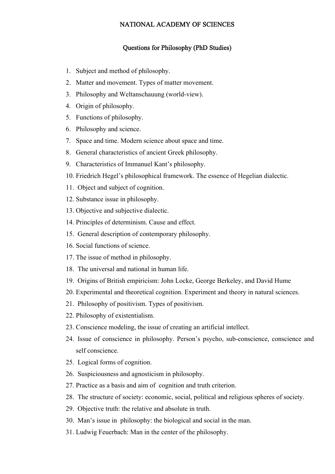## NATIONAL ACADEMY OF SCIENCES

## Questions for Philosophy (PhD Studies)

- 1. Subject and method of philosophy.
- 2. Matter and movement. Types of matter movement.
- 3. Philosophy and Weltanschauung (world-view).
- 4. Origin of philosophy.
- 5. Functions of philosophy.
- 6. Philosophy and science.
- 7. Space and time. Modern science about space and time.
- 8. General characteristics of ancient Greek philosophy.
- 9. Characteristics of Immanuel Kant's philosophy.
- 10. Friedrich Hegel's philosophical framework. The essence of Hegelian dialectic.
- 11. Object and subject of cognition.
- 12. Substance issue in philosophy.
- 13. Objective and subjective dialectic.
- 14. Principles of determinism. Cause and effect.
- 15. General description of contemporary philosophy.
- 16. Social functions of science.
- 17. The issue of method in philosophy.
- 18. The universal and national in human life.
- 19. Origins of British empiricism: [John Locke,](http://en.wikipedia.org/wiki/John_Locke) [George Berkeley](http://en.wikipedia.org/wiki/George_Berkeley), and [David Hume](http://en.wikipedia.org/wiki/David_Hume)
- 20. Experimental and theoretical cognition. Experiment and theory in natural sciences.
- 21. Philosophy of positivism. Types of positivism.
- 22. Philosophy of [existentialism.](http://en.wikipedia.org/wiki/Philosophy#Existentialism#Existentialism)
- 23. Conscience modeling, the issue of creating an artificial intellect.
- 24. Issue of conscience in philosophy. Person's psycho, sub-conscience, conscience and self conscience.
- 25. Logical forms of cognition.
- 26. Suspiciousness and agnosticism in philosophy.
- 27. Practice as a basis and aim of cognition and truth criterion.
- 28. The structure of society: economic, social, political and religious spheres of society.
- 29. Objective truth: the relative and absolute in truth.
- 30. Man's issue in philosophy: the biological and social in the man.
- 31. Ludwig Feuerbach: Man in the center of the philosophy.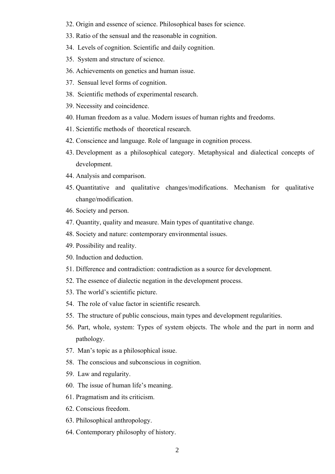- 32. Origin and essence of science. Philosophical bases for science.
- 33. Ratio of the sensual and the reasonable in cognition.
- 34. Levels of cognition. Scientific and daily cognition.
- 35. System and structure of science.
- 36. Achievements on genetics and human issue.
- 37. Sensual level forms of cognition.
- 38. Scientific methods of experimental research.
- 39. Necessity and coincidence.
- 40. Human freedom as a value. Modern issues of human rights and freedoms.
- 41. Scientific methods of theoretical research.
- 42. Conscience and language. Role of language in cognition process.
- 43. Development as a philosophical category. Metaphysical and dialectical concepts of development.
- 44. Analysis and comparison.
- 45. Quantitative and qualitative changes/modifications. Mechanism for qualitative change/modification.
- 46. Society and person.
- 47. Quantity, quality and measure. Main types of quantitative change.
- 48. Society and nature: contemporary environmental issues.
- 49. Possibility and reality.
- 50. Induction and deduction.
- 51. Difference and contradiction: contradiction as a source for development.
- 52. The essence of dialectic negation in the development process.
- 53. The world's scientific picture.
- 54. The role of value factor in scientific research.
- 55. The structure of public conscious, main types and development regularities.
- 56. Part, whole, system: Types of system objects. The whole and the part in norm and pathology.
- 57. Man's topic as a philosophical issue.
- 58. The conscious and subconscious in cognition.
- 59. Law and regularity.
- 60. The issue of human life's meaning.
- 61. Pragmatism and its criticism.
- 62. Conscious freedom.
- 63. Philosophical anthropology.
- 64. Contemporary philosophy of history.